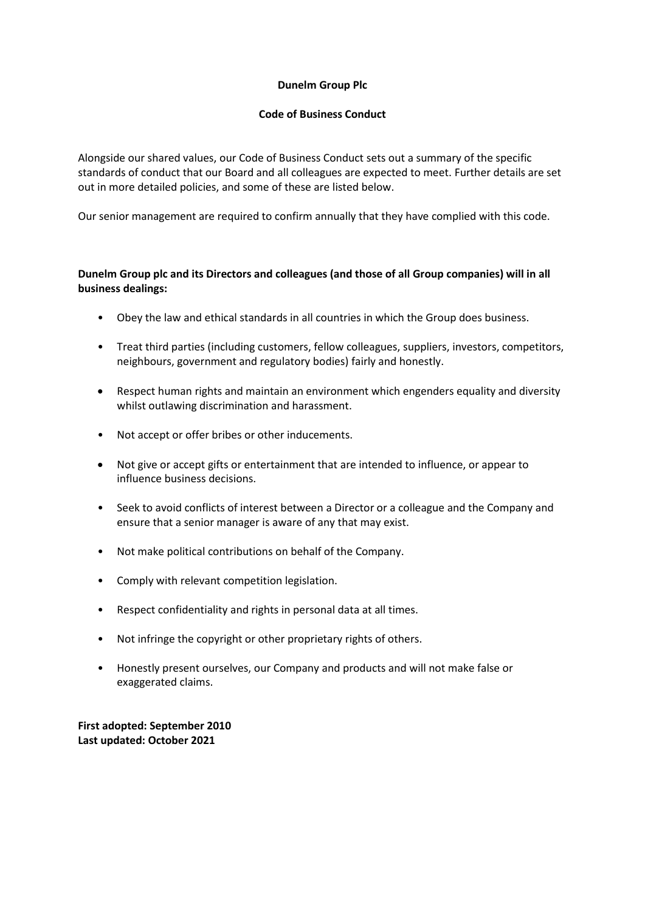## **Dunelm Group Plc**

## **Code of Business Conduct**

Alongside our shared values, our Code of Business Conduct sets out a summary of the specific standards of conduct that our Board and all colleagues are expected to meet. Further details are set out in more detailed policies, and some of these are listed below.

Our senior management are required to confirm annually that they have complied with this code.

## **Dunelm Group plc and its Directors and colleagues (and those of all Group companies) will in all business dealings:**

- Obey the law and ethical standards in all countries in which the Group does business.
- Treat third parties (including customers, fellow colleagues, suppliers, investors, competitors, neighbours, government and regulatory bodies) fairly and honestly.
- Respect human rights and maintain an environment which engenders equality and diversity whilst outlawing discrimination and harassment.
- Not accept or offer bribes or other inducements.
- Not give or accept gifts or entertainment that are intended to influence, or appear to influence business decisions.
- Seek to avoid conflicts of interest between a Director or a colleague and the Company and ensure that a senior manager is aware of any that may exist.
- Not make political contributions on behalf of the Company.
- Comply with relevant competition legislation.
- Respect confidentiality and rights in personal data at all times.
- Not infringe the copyright or other proprietary rights of others.
- Honestly present ourselves, our Company and products and will not make false or exaggerated claims.

**First adopted: September 2010 Last updated: October 2021**